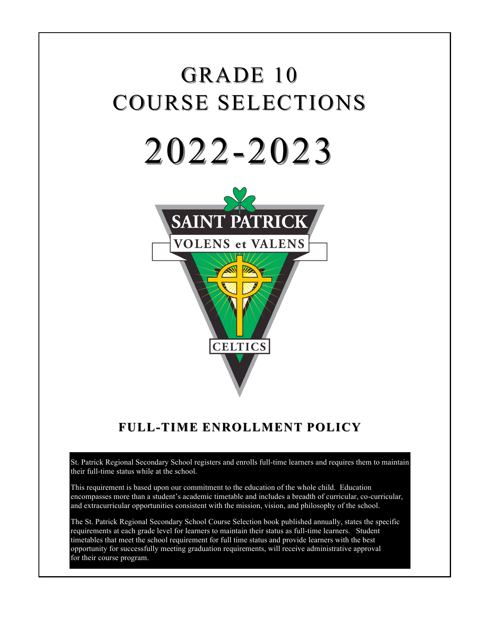# GRADE 10 COURSE SELECTIONS 2022-2023



# **FULL-TIME ENROLLMENT ENROLLMENT POLICY**

St. Patrick Regional Secondary School registers and enrolls full-time learners and requires them to maintain their full-time status while at the school.

This requirement is based upon our commitment to the education of the whole child. Education encompasses more than a student's academic timetable and includes a breadth of curricular, co-curricular, and extracurricular opportunities consistent with the mission, vision, and philosophy of the school.

The St. Patrick Regional Secondary School Course Selection book published annually, states the specific requirements at each grade level for learners to maintain their status as full-time learners. Student timetables that meet the school requirement for full time status and provide learners with the best opportunity for successfully meeting graduation requirements, will receive administrative approval for their course program.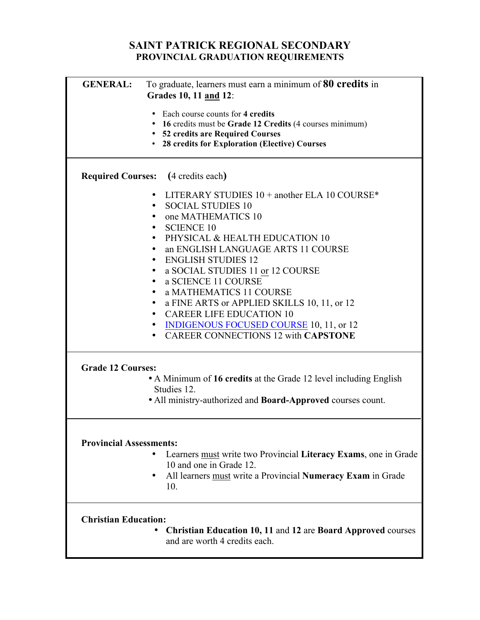# **SAINT PATRICK REGIONAL SECONDARY PROVINCIAL GRADUATION REQUIREMENTS**

| <b>GENERAL:</b>                | To graduate, learners must earn a minimum of 80 credits in<br>Grades 10, 11 and 12: |
|--------------------------------|-------------------------------------------------------------------------------------|
|                                |                                                                                     |
|                                | Each course counts for 4 credits                                                    |
|                                | • 16 credits must be Grade 12 Credits (4 courses minimum)                           |
|                                | • 52 credits are Required Courses                                                   |
|                                | • 28 credits for Exploration (Elective) Courses                                     |
|                                |                                                                                     |
|                                | <b>Required Courses:</b> (4 credits each)                                           |
|                                | LITERARY STUDIES $10 +$ another ELA 10 COURSE*<br>$\bullet$                         |
|                                | <b>SOCIAL STUDIES 10</b><br>$\bullet$                                               |
|                                | one MATHEMATICS 10<br>٠                                                             |
|                                | <b>SCIENCE 10</b><br>٠                                                              |
|                                | PHYSICAL & HEALTH EDUCATION 10<br>$\bullet$                                         |
|                                | an ENGLISH LANGUAGE ARTS 11 COURSE<br>$\bullet$                                     |
|                                | <b>ENGLISH STUDIES 12</b><br>$\bullet$                                              |
|                                | a SOCIAL STUDIES 11 or 12 COURSE<br>$\bullet$                                       |
|                                | a SCIENCE 11 COURSE<br>$\bullet$                                                    |
|                                | a MATHEMATICS 11 COURSE<br>$\bullet$                                                |
|                                | a FINE ARTS or APPLIED SKILLS 10, 11, or 12<br>$\bullet$                            |
|                                | <b>CAREER LIFE EDUCATION 10</b><br>$\bullet$                                        |
|                                | <b>INDIGENOUS FOCUSED COURSE 10, 11, or 12</b><br>٠                                 |
|                                | <b>CAREER CONNECTIONS 12 with CAPSTONE</b><br>$\bullet$                             |
|                                |                                                                                     |
| <b>Grade 12 Courses:</b>       |                                                                                     |
|                                | • A Minimum of 16 credits at the Grade 12 level including English                   |
|                                | Studies 12.                                                                         |
|                                | • All ministry-authorized and <b>Board-Approved</b> courses count.                  |
|                                |                                                                                     |
|                                |                                                                                     |
| <b>Provincial Assessments:</b> |                                                                                     |
|                                | Learners must write two Provincial Literacy Exams, one in Grade                     |
|                                | 10 and one in Grade 12.                                                             |
|                                | All learners must write a Provincial Numeracy Exam in Grade                         |
|                                | 10.                                                                                 |
|                                |                                                                                     |
| <b>Christian Education:</b>    |                                                                                     |
|                                | <b>Christian Education 10, 11 and 12 are Board Approved courses</b>                 |
|                                | and are worth 4 credits each.                                                       |
|                                |                                                                                     |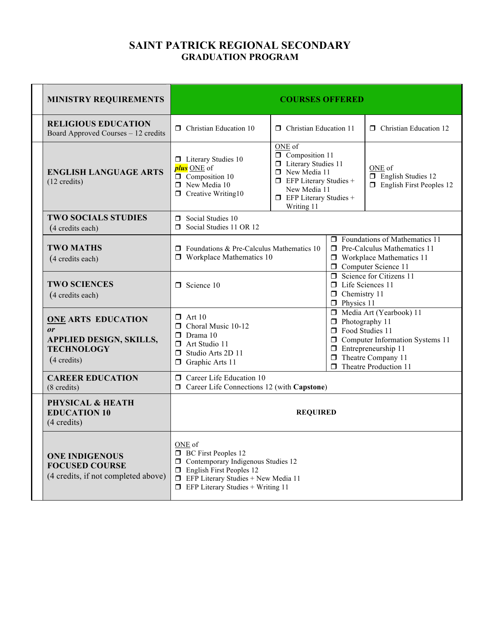# **SAINT PATRICK REGIONAL SECONDARY GRADUATION PROGRAM**

| <b>MINISTRY REQUIREMENTS</b>                                                                                    | <b>COURSES OFFERED</b>                                                                                                                                                                                       |                                                                                                                                                                          |                                                                                                                                               |                                                                                                                                                              |
|-----------------------------------------------------------------------------------------------------------------|--------------------------------------------------------------------------------------------------------------------------------------------------------------------------------------------------------------|--------------------------------------------------------------------------------------------------------------------------------------------------------------------------|-----------------------------------------------------------------------------------------------------------------------------------------------|--------------------------------------------------------------------------------------------------------------------------------------------------------------|
| <b>RELIGIOUS EDUCATION</b><br>Board Approved Courses - 12 credits                                               | $\Box$ Christian Education 10                                                                                                                                                                                | $\Box$ Christian Education 11                                                                                                                                            |                                                                                                                                               | <b>D</b> Christian Education 12                                                                                                                              |
| <b>ENGLISH LANGUAGE ARTS</b><br>$(12 \text{ credits})$                                                          | $\Box$ Literary Studies 10<br>plus ONE of<br>$\Box$ Composition 10<br>$\Box$ New Media 10<br>$\Box$ Creative Writing10                                                                                       | ONE of<br>Composition 11<br><b>I</b> Literary Studies 11<br>New Media 11<br>$\Box$ EFP Literary Studies +<br>New Media 11<br>$\Box$ EFP Literary Studies +<br>Writing 11 |                                                                                                                                               | ONE of<br>$\Box$ English Studies 12<br>$\Box$ English First Peoples 12                                                                                       |
| <b>TWO SOCIALS STUDIES</b><br>(4 credits each)                                                                  | $\Box$ Social Studies 10<br>Social Studies 11 OR 12                                                                                                                                                          |                                                                                                                                                                          |                                                                                                                                               |                                                                                                                                                              |
| <b>TWO MATHS</b><br>(4 credits each)                                                                            | $\Box$ Foundations & Pre-Calculus Mathematics 10<br>$\Box$ Workplace Mathematics 10                                                                                                                          |                                                                                                                                                                          | $\Box$ Foundations of Mathematics 11<br>$\Box$ Pre-Calculus Mathematics 11<br>$\Box$ Workplace Mathematics 11<br><b>O</b> Computer Science 11 |                                                                                                                                                              |
| <b>TWO SCIENCES</b><br>(4 credits each)                                                                         | $\Box$ Science 10                                                                                                                                                                                            |                                                                                                                                                                          | $\Box$ Science for Citizens 11<br>$\Box$ Life Sciences 11<br>$\Box$ Chemistry 11<br>$\Box$ Physics 11                                         |                                                                                                                                                              |
| <b>ONE ARTS EDUCATION</b><br>or<br><b>APPLIED DESIGN, SKILLS,</b><br><b>TECHNOLOGY</b><br>$(4 \text{ credits})$ | $\Box$ Art 10<br>Choral Music 10-12<br>$\Box$ Drama 10<br>$\Box$ Art Studio 11<br>Studio Arts 2D 11<br>Graphic Arts 11<br>□                                                                                  |                                                                                                                                                                          | $\Box$ Photography 11<br><b>D</b> Food Studies 11                                                                                             | Media Art (Yearbook) 11<br>$\Box$ Computer Information Systems 11<br>$\Box$ Entrepreneurship 11<br>$\Box$ Theatre Company 11<br>$\Box$ Theatre Production 11 |
| <b>CAREER EDUCATION</b><br>(8 credits)                                                                          | $\Box$ Career Life Education 10<br>$\Box$ Career Life Connections 12 (with Capstone)                                                                                                                         |                                                                                                                                                                          |                                                                                                                                               |                                                                                                                                                              |
| <b>PHYSICAL &amp; HEATH</b><br><b>EDUCATION 10</b><br>(4 credits)                                               | <b>REQUIRED</b>                                                                                                                                                                                              |                                                                                                                                                                          |                                                                                                                                               |                                                                                                                                                              |
| <b>ONE INDIGENOUS</b><br><b>FOCUSED COURSE</b><br>(4 credits, if not completed above)                           | ONE of<br><b>BC</b> First Peoples 12<br>Contemporary Indigenous Studies 12<br>□<br>$\Box$ English First Peoples 12<br>$\Box$ EFP Literary Studies + New Media 11<br>$\Box$ EFP Literary Studies + Writing 11 |                                                                                                                                                                          |                                                                                                                                               |                                                                                                                                                              |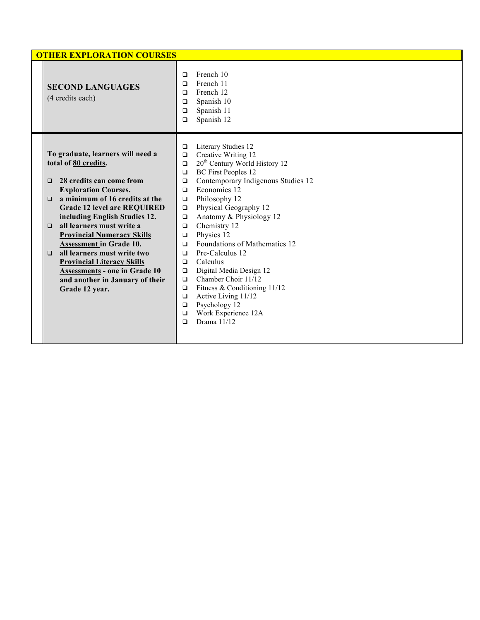| <b>OTHER EXPLORATION COURSES</b>                                                                                                                                                                                                                                                                                                                                                                                                                                                                                                           |                                                                                                                                                                                                                                                                                                                                                                                                                                                                                                                                                                                                                                                                                                                                  |
|--------------------------------------------------------------------------------------------------------------------------------------------------------------------------------------------------------------------------------------------------------------------------------------------------------------------------------------------------------------------------------------------------------------------------------------------------------------------------------------------------------------------------------------------|----------------------------------------------------------------------------------------------------------------------------------------------------------------------------------------------------------------------------------------------------------------------------------------------------------------------------------------------------------------------------------------------------------------------------------------------------------------------------------------------------------------------------------------------------------------------------------------------------------------------------------------------------------------------------------------------------------------------------------|
| <b>SECOND LANGUAGES</b><br>(4 credits each)                                                                                                                                                                                                                                                                                                                                                                                                                                                                                                | French 10<br>$\Box$<br>French 11<br>$\Box$<br>French 12<br>$\Box$<br>Spanish 10<br>$\Box$<br>Spanish 11<br>$\Box$<br>Spanish 12<br>$\Box$                                                                                                                                                                                                                                                                                                                                                                                                                                                                                                                                                                                        |
| To graduate, learners will need a<br>total of 80 credits.<br>28 credits can come from<br>$\Box$<br><b>Exploration Courses.</b><br>a minimum of 16 credits at the<br>$\Box$<br><b>Grade 12 level are REQUIRED</b><br>including English Studies 12.<br>all learners must write a<br>$\Box$<br><b>Provincial Numeracy Skills</b><br><b>Assessment in Grade 10.</b><br>all learners must write two<br>$\Box$<br><b>Provincial Literacy Skills</b><br><b>Assessments - one in Grade 10</b><br>and another in January of their<br>Grade 12 year. | Literary Studies 12<br>$\Box$<br>Creative Writing 12<br>$\Box$<br>20 <sup>th</sup> Century World History 12<br>$\Box$<br><b>BC</b> First Peoples 12<br>$\Box$<br>Contemporary Indigenous Studies 12<br>$\Box$<br>Economics 12<br>$\Box$<br>Philosophy 12<br>$\Box$<br>Physical Geography 12<br>$\Box$<br>Anatomy & Physiology 12<br>$\Box$<br>Chemistry 12<br>$\Box$<br>Physics 12<br>$\Box$<br>Foundations of Mathematics 12<br>$\Box$<br>Pre-Calculus 12<br>$\Box$<br>Calculus<br>$\Box$<br>Digital Media Design 12<br>$\Box$<br>Chamber Choir 11/12<br>$\Box$<br>Fitness & Conditioning 11/12<br>$\Box$<br>Active Living 11/12<br>$\Box$<br>Psychology 12<br>$\Box$<br>Work Experience 12A<br>$\Box$<br>Drama 11/12<br>$\Box$ |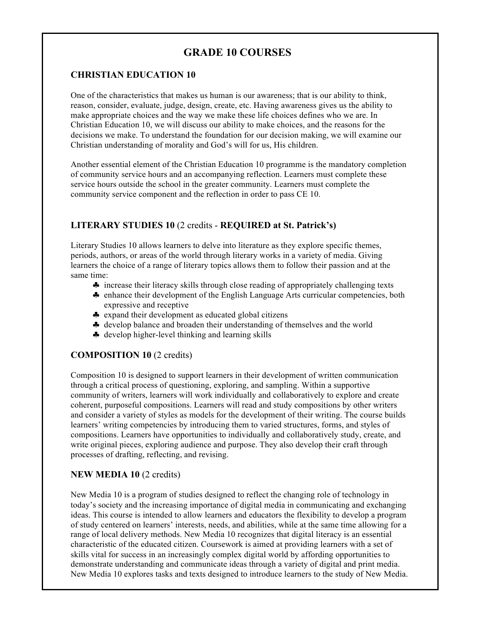# **GRADE 10 COURSES**

#### **CHRISTIAN EDUCATION 10**

One of the characteristics that makes us human is our awareness; that is our ability to think, reason, consider, evaluate, judge, design, create, etc. Having awareness gives us the ability to make appropriate choices and the way we make these life choices defines who we are. In Christian Education 10, we will discuss our ability to make choices, and the reasons for the decisions we make. To understand the foundation for our decision making, we will examine our Christian understanding of morality and God's will for us, His children.

Another essential element of the Christian Education 10 programme is the mandatory completion of community service hours and an accompanying reflection. Learners must complete these service hours outside the school in the greater community. Learners must complete the community service component and the reflection in order to pass CE 10.

#### **LITERARY STUDIES 10** (2 credits - **REQUIRED at St. Patrick's)**

Literary Studies 10 allows learners to delve into literature as they explore specific themes, periods, authors, or areas of the world through literary works in a variety of media. Giving learners the choice of a range of literary topics allows them to follow their passion and at the same time:

- ♣ increase their literacy skills through close reading of appropriately challenging texts
- ♣ enhance their development of the English Language Arts curricular competencies, both expressive and receptive
- ♣ expand their development as educated global citizens
- ♣ develop balance and broaden their understanding of themselves and the world
- ♣ develop higher-level thinking and learning skills

#### **COMPOSITION 10** (2 credits)

Composition 10 is designed to support learners in their development of written communication through a critical process of questioning, exploring, and sampling. Within a supportive community of writers, learners will work individually and collaboratively to explore and create coherent, purposeful compositions. Learners will read and study compositions by other writers and consider a variety of styles as models for the development of their writing. The course builds learners' writing competencies by introducing them to varied structures, forms, and styles of compositions. Learners have opportunities to individually and collaboratively study, create, and write original pieces, exploring audience and purpose. They also develop their craft through processes of drafting, reflecting, and revising.

#### **NEW MEDIA 10** (2 credits)

New Media 10 is a program of studies designed to reflect the changing role of technology in today's society and the increasing importance of digital media in communicating and exchanging ideas. This course is intended to allow learners and educators the flexibility to develop a program of study centered on learners' interests, needs, and abilities, while at the same time allowing for a range of local delivery methods. New Media 10 recognizes that digital literacy is an essential characteristic of the educated citizen. Coursework is aimed at providing learners with a set of skills vital for success in an increasingly complex digital world by affording opportunities to demonstrate understanding and communicate ideas through a variety of digital and print media. New Media 10 explores tasks and texts designed to introduce learners to the study of New Media.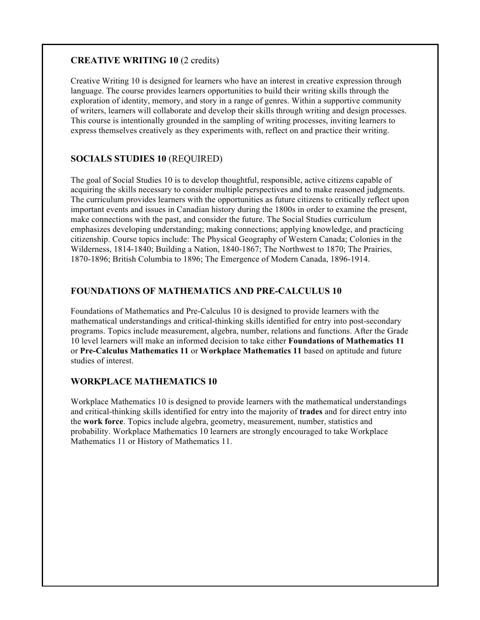## **CREATIVE WRITING 10** (2 credits)

Creative Writing 10 is designed for learners who have an interest in creative expression through language. The course provides learners opportunities to build their writing skills through the exploration of identity, memory, and story in a range of genres. Within a supportive community of writers, learners will collaborate and develop their skills through writing and design processes. This course is intentionally grounded in the sampling of writing processes, inviting learners to express themselves creatively as they experiments with, reflect on and practice their writing.

## **SOCIALS STUDIES 10** (REQUIRED)

The goal of Social Studies 10 is to develop thoughtful, responsible, active citizens capable of acquiring the skills necessary to consider multiple perspectives and to make reasoned judgments. The curriculum provides learners with the opportunities as future citizens to critically reflect upon important events and issues in Canadian history during the 1800s in order to examine the present, make connections with the past, and consider the future. The Social Studies curriculum emphasizes developing understanding; making connections; applying knowledge, and practicing citizenship. Course topics include: The Physical Geography of Western Canada; Colonies in the Wilderness, 1814-1840; Building a Nation, 1840-1867; The Northwest to 1870; The Prairies, 1870-1896; British Columbia to 1896; The Emergence of Modern Canada, 1896-1914.

## **FOUNDATIONS OF MATHEMATICS AND PRE-CALCULUS 10**

Foundations of Mathematics and Pre-Calculus 10 is designed to provide learners with the mathematical understandings and critical-thinking skills identified for entry into post-secondary programs. Topics include measurement, algebra, number, relations and functions. After the Grade 10 level learners will make an informed decision to take either **Foundations of Mathematics 11** or **Pre-Calculus Mathematics 11** or **Workplace Mathematics 11** based on aptitude and future studies of interest.

#### **WORKPLACE MATHEMATICS 10**

Workplace Mathematics 10 is designed to provide learners with the mathematical understandings and critical-thinking skills identified for entry into the majority of **trades** and for direct entry into the **work force**. Topics include algebra, geometry, measurement, number, statistics and probability. Workplace Mathematics 10 learners are strongly encouraged to take Workplace Mathematics 11 or History of Mathematics 11.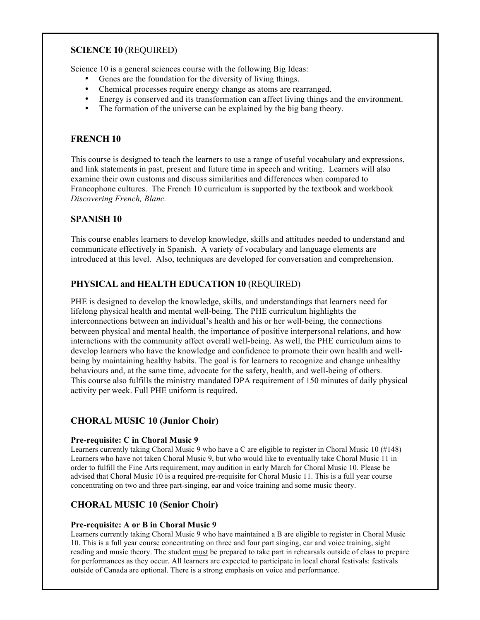#### **SCIENCE 10** (REQUIRED)

Science 10 is a general sciences course with the following Big Ideas:

- Genes are the foundation for the diversity of living things.
- Chemical processes require energy change as atoms are rearranged.
- Energy is conserved and its transformation can affect living things and the environment.
- The formation of the universe can be explained by the big bang theory.

#### **FRENCH 10**

This course is designed to teach the learners to use a range of useful vocabulary and expressions, and link statements in past, present and future time in speech and writing. Learners will also examine their own customs and discuss similarities and differences when compared to Francophone cultures. The French 10 curriculum is supported by the textbook and workbook *Discovering French, Blanc.*

#### **SPANISH 10**

This course enables learners to develop knowledge, skills and attitudes needed to understand and communicate effectively in Spanish. A variety of vocabulary and language elements are introduced at this level. Also, techniques are developed for conversation and comprehension.

## **PHYSICAL and HEALTH EDUCATION 10** (REQUIRED)

PHE is designed to develop the knowledge, skills, and understandings that learners need for lifelong physical health and mental well-being. The PHE curriculum highlights the interconnections between an individual's health and his or her well-being, the connections between physical and mental health, the importance of positive interpersonal relations, and how interactions with the community affect overall well-being. As well, the PHE curriculum aims to develop learners who have the knowledge and confidence to promote their own health and wellbeing by maintaining healthy habits. The goal is for learners to recognize and change unhealthy behaviours and, at the same time, advocate for the safety, health, and well-being of others. This course also fulfills the ministry mandated DPA requirement of 150 minutes of daily physical activity per week. Full PHE uniform is required.

#### **CHORAL MUSIC 10 (Junior Choir)**

#### **Pre-requisite: C in Choral Music 9**

Learners currently taking Choral Music 9 who have a C are eligible to register in Choral Music 10 (#148) Learners who have not taken Choral Music 9, but who would like to eventually take Choral Music 11 in order to fulfill the Fine Arts requirement, may audition in early March for Choral Music 10. Please be advised that Choral Music 10 is a required pre-requisite for Choral Music 11. This is a full year course concentrating on two and three part-singing, ear and voice training and some music theory.

#### **CHORAL MUSIC 10 (Senior Choir)**

#### **Pre-requisite: A or B in Choral Music 9**

Learners currently taking Choral Music 9 who have maintained a B are eligible to register in Choral Music 10. This is a full year course concentrating on three and four part singing, ear and voice training, sight reading and music theory. The student must be prepared to take part in rehearsals outside of class to prepare for performances as they occur. All learners are expected to participate in local choral festivals: festivals outside of Canada are optional. There is a strong emphasis on voice and performance.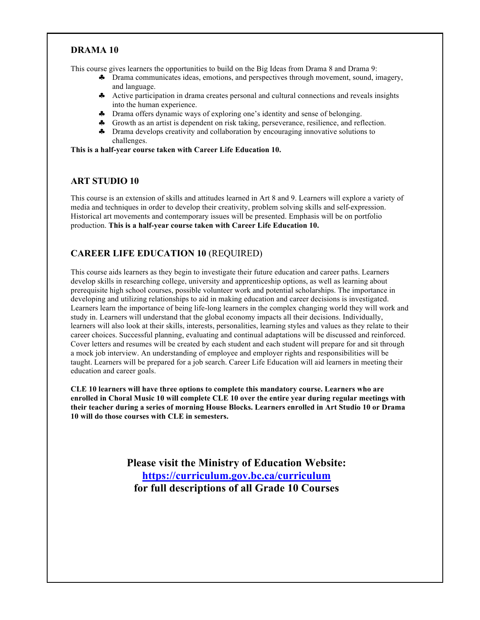## **DRAMA 10**

This course gives learners the opportunities to build on the Big Ideas from Drama 8 and Drama 9:

- ♣ Drama communicates ideas, emotions, and perspectives through movement, sound, imagery, and language.
- ♣ Active participation in drama creates personal and cultural connections and reveals insights into the human experience.
- ♣ Drama offers dynamic ways of exploring one's identity and sense of belonging.
- ♣ Growth as an artist is dependent on risk taking, perseverance, resilience, and reflection.
- ♣ Drama develops creativity and collaboration by encouraging innovative solutions to challenges.

**This is a half-year course taken with Career Life Education 10.**

#### **ART STUDIO 10**

This course is an extension of skills and attitudes learned in Art 8 and 9. Learners will explore a variety of media and techniques in order to develop their creativity, problem solving skills and self-expression. Historical art movements and contemporary issues will be presented. Emphasis will be on portfolio production. **This is a half-year course taken with Career Life Education 10.**

## **CAREER LIFE EDUCATION 10** (REQUIRED)

This course aids learners as they begin to investigate their future education and career paths. Learners develop skills in researching college, university and apprenticeship options, as well as learning about prerequisite high school courses, possible volunteer work and potential scholarships. The importance in developing and utilizing relationships to aid in making education and career decisions is investigated. Learners learn the importance of being life-long learners in the complex changing world they will work and study in. Learners will understand that the global economy impacts all their decisions. Individually, learners will also look at their skills, interests, personalities, learning styles and values as they relate to their career choices. Successful planning, evaluating and continual adaptations will be discussed and reinforced. Cover letters and resumes will be created by each student and each student will prepare for and sit through a mock job interview. An understanding of employee and employer rights and responsibilities will be taught. Learners will be prepared for a job search. Career Life Education will aid learners in meeting their education and career goals.

**CLE 10 learners will have three options to complete this mandatory course. Learners who are enrolled in Choral Music 10 will complete CLE 10 over the entire year during regular meetings with their teacher during a series of morning House Blocks. Learners enrolled in Art Studio 10 or Drama 10 will do those courses with CLE in semesters.**

> **Please visit the Ministry of Education Website: https://curriculum.gov.bc.ca/curriculum for full descriptions of all Grade 10 Courses**